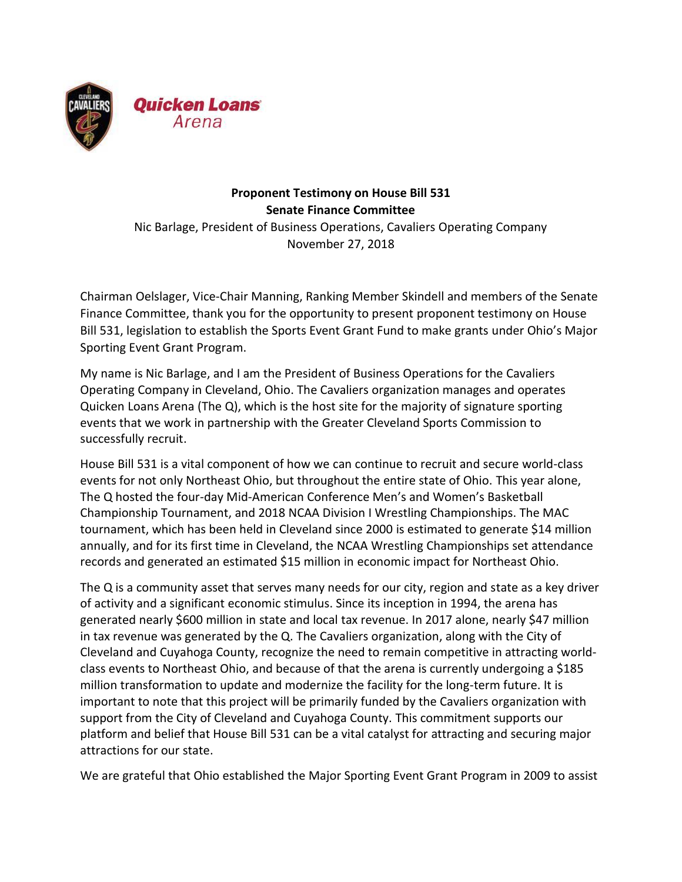

## **Proponent Testimony on House Bill 531 Senate Finance Committee** Nic Barlage, President of Business Operations, Cavaliers Operating Company November 27, 2018

Chairman Oelslager, Vice-Chair Manning, Ranking Member Skindell and members of the Senate Finance Committee, thank you for the opportunity to present proponent testimony on House Bill 531, legislation to establish the Sports Event Grant Fund to make grants under Ohio's Major Sporting Event Grant Program.

My name is Nic Barlage, and I am the President of Business Operations for the Cavaliers Operating Company in Cleveland, Ohio. The Cavaliers organization manages and operates Quicken Loans Arena (The Q), which is the host site for the majority of signature sporting events that we work in partnership with the Greater Cleveland Sports Commission to successfully recruit.

House Bill 531 is a vital component of how we can continue to recruit and secure world-class events for not only Northeast Ohio, but throughout the entire state of Ohio. This year alone, The Q hosted the four-day Mid-American Conference Men's and Women's Basketball Championship Tournament, and 2018 NCAA Division I Wrestling Championships. The MAC tournament, which has been held in Cleveland since 2000 is estimated to generate \$14 million annually, and for its first time in Cleveland, the NCAA Wrestling Championships set attendance records and generated an estimated \$15 million in economic impact for Northeast Ohio.

The Q is a community asset that serves many needs for our city, region and state as a key driver of activity and a significant economic stimulus. Since its inception in 1994, the arena has generated nearly \$600 million in state and local tax revenue. In 2017 alone, nearly \$47 million in tax revenue was generated by the Q. The Cavaliers organization, along with the City of Cleveland and Cuyahoga County, recognize the need to remain competitive in attracting worldclass events to Northeast Ohio, and because of that the arena is currently undergoing a \$185 million transformation to update and modernize the facility for the long-term future. It is important to note that this project will be primarily funded by the Cavaliers organization with support from the City of Cleveland and Cuyahoga County. This commitment supports our platform and belief that House Bill 531 can be a vital catalyst for attracting and securing major attractions for our state.

We are grateful that Ohio established the Major Sporting Event Grant Program in 2009 to assist